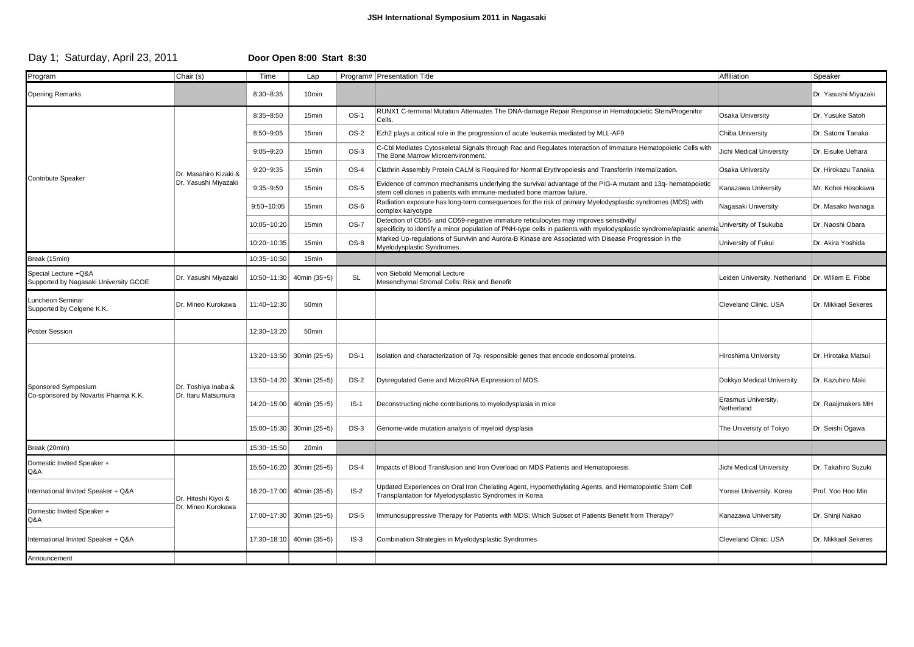### **JSH International Symposium 2011 in Nagasaki**

## Day 1; Saturday, April 23, 2011 **Door Open 8:00 Start 8:30**

| Program                                                       | Chair (s)                                     | Time           | Lap                      |             | Program#   Presentation Title                                                                                                                                                                                   | Affiliation                       | Speaker              |
|---------------------------------------------------------------|-----------------------------------------------|----------------|--------------------------|-------------|-----------------------------------------------------------------------------------------------------------------------------------------------------------------------------------------------------------------|-----------------------------------|----------------------|
| <b>Opening Remarks</b>                                        |                                               | $8:30 - 8:35$  | 10 <sub>min</sub>        |             |                                                                                                                                                                                                                 |                                   | Dr. Yasushi Miyazaki |
| <b>Contribute Speaker</b>                                     | Dr. Masahiro Kizaki &<br>Dr. Yasushi Miyazaki | $8:35 - 8:50$  | 15min                    | $OS-1$      | RUNX1 C-terminal Mutation Attenuates The DNA-damage Repair Response in Hematopoietic Stem/Progenitor<br>Cells.                                                                                                  | Osaka University                  | Dr. Yusuke Satoh     |
|                                                               |                                               | $8:50 - 9:05$  | 15min                    | OS-2        | Ezh2 plays a critical role in the progression of acute leukemia mediated by MLL-AF9                                                                                                                             | Chiba University                  | Dr. Satomi Tanaka    |
|                                                               |                                               | $9:05 - 9:20$  | 15 <sub>min</sub>        | $OS-3$      | C-Cbl Mediates Cytoskeletal Signals through Rac and Regulates Interaction of Immature Hematopoietic Cells with<br>The Bone Marrow Microenvironment.                                                             | Jichi Medical University          | Dr. Eisuke Uehara    |
|                                                               |                                               | $9:20 - 9:35$  | 15 <sub>min</sub>        | $OS-4$      | Clathrin Assembly Protein CALM is Required for Normal Erythropoiesis and Transferrin Internalization.                                                                                                           | Osaka University                  | Dr. Hirokazu Tanaka  |
|                                                               |                                               | $9:35 - 9:50$  | 15min                    | $OS-5$      | Evidence of common mechanisms underlying the survival advantage of the PIG-A mutant and 13q- hematopoietic<br>stem cell clones in patients with immune-mediated bone marrow failure.                            | Kanazawa University               | Mr. Kohei Hosokawa   |
|                                                               |                                               | $9:50 - 10:05$ | 15min                    | OS-6        | Radiation exposure has long-term consequences for the risk of primary Myelodysplastic syndromes (MDS) with<br>complex karyotype                                                                                 | Nagasaki University               | Dr. Masako Iwanaga   |
|                                                               |                                               | 10:05~10:20    | 15min                    | $OS-7$      | Detection of CD55- and CD59-negative immature reticulocytes may improves sensitivity/<br>specificity to identify a minor population of PNH-type cells in patients with myelodysplastic syndrome/aplastic anemia | University of Tsukuba             | Dr. Naoshi Obara     |
|                                                               |                                               | 10:20~10:35    | 15min                    | OS-8        | Marked Up-requlations of Survivin and Aurora-B Kinase are Associated with Disease Progression in the<br>Myelodysplastic Syndromes.                                                                              | University of Fukui               | Dr. Akira Yoshida    |
| Break (15min)                                                 |                                               | 10:35~10:50    | 15 <sub>min</sub>        |             |                                                                                                                                                                                                                 |                                   |                      |
| Special Lecture +Q&A<br>Supported by Nagasaki University GCOE | Dr. Yasushi Miyazaki                          | 10:50~11:30    | 40min (35+5)             | <b>SL</b>   | von Siebold Memorial Lecture<br>Mesenchymal Stromal Cells: Risk and Benefit                                                                                                                                     | Leiden University. Netherland     | Dr. Willem E. Fibbe  |
| Luncheon Seminar<br>Supported by Celgene K.K.                 | Dr. Mineo Kurokawa                            | 11:40~12:30    | 50 <sub>min</sub>        |             |                                                                                                                                                                                                                 | Cleveland Clinic. USA             | Dr. Mikkael Sekeres  |
| <b>Poster Session</b>                                         |                                               | 12:30~13:20    | 50min                    |             |                                                                                                                                                                                                                 |                                   |                      |
| Sponsored Symposium<br>Co-sponsored by Novartis Pharma K.K.   | Dr. Toshiya Inaba &<br>Dr. Itaru Matsumura    |                | 13:20~13:50 30min (25+5) | $DS-1$      | Isolation and characterization of 7q- responsible genes that encode endosomal proteins.                                                                                                                         | Hiroshima University              | Dr. Hirotaka Matsui  |
|                                                               |                                               | 13:50~14:20    | 30min (25+5)             | <b>DS-2</b> | Dysregulated Gene and MicroRNA Expression of MDS.                                                                                                                                                               | Dokkyo Medical University         | Dr. Kazuhiro Maki    |
|                                                               |                                               | 14:20~15:00    | 40min (35+5)             | $IS-1$      | Deconstructing niche contributions to myelodysplasia in mice                                                                                                                                                    | Erasmus University.<br>Netherland | Dr. Raaijmakers MH   |
|                                                               |                                               | 15:00~15:30    | 30min (25+5)             | $DS-3$      | Genome-wide mutation analysis of myeloid dysplasia                                                                                                                                                              | The University of Tokyo           | Dr. Seishi Ogawa     |
| Break (20min)                                                 |                                               | 15:30~15:50    | 20 <sub>min</sub>        |             |                                                                                                                                                                                                                 |                                   |                      |
| Domestic Invited Speaker +<br>Q&A                             | Dr. Hitoshi Kiyoi &<br>Dr. Mineo Kurokawa     | 15:50~16:20    | 30min (25+5)             | $DS-4$      | Impacts of Blood Transfusion and Iron Overload on MDS Patients and Hematopoiesis.                                                                                                                               | Jichi Medical University          | Dr. Takahiro Suzuki  |
| International Invited Speaker + Q&A                           |                                               | 16:20~17:00    | 40min (35+5)             | $IS-2$      | Updated Experiences on Oral Iron Chelating Agent, Hypomethylating Agents, and Hematopoietic Stem Cell<br>Transplantation for Myelodysplastic Syndromes in Korea                                                 | Yonsei University. Korea          | Prof. Yoo Hoo Min    |
| Domestic Invited Speaker +<br>Q&A                             |                                               | 17:00~17:30    | 30min (25+5)             | $DS-5$      | mmunosuppressive Therapy for Patients with MDS: Which Subset of Patients Benefit from Therapy?                                                                                                                  | Kanazawa University               | Dr. Shinji Nakao     |
| International Invited Speaker + Q&A                           |                                               | 17:30~18:10    | 40min (35+5)             | $IS-3$      | Combination Strategies in Myelodysplastic Syndromes                                                                                                                                                             | Cleveland Clinic, USA             | Dr. Mikkael Sekeres  |
| Announcement                                                  |                                               |                |                          |             |                                                                                                                                                                                                                 |                                   |                      |